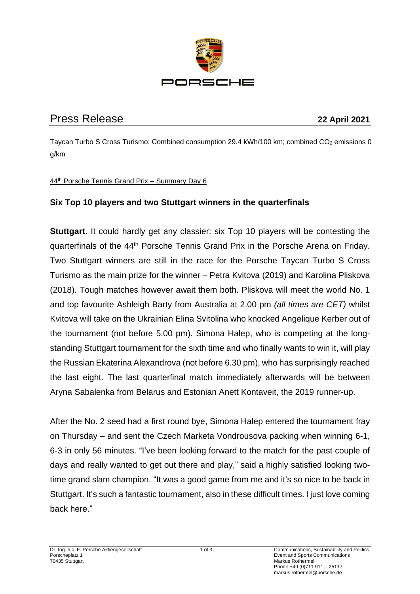

# Press Release **22 April 2021**

Taycan Turbo S Cross Turismo: Combined consumption 29.4 kWh/100 km; combined CO<sub>2</sub> emissions 0 g/km

### 44th Porsche Tennis Grand Prix – Summary Day 6

# **Six Top 10 players and two Stuttgart winners in the quarterfinals**

**Stuttgart**. It could hardly get any classier: six Top 10 players will be contesting the quarterfinals of the 44th Porsche Tennis Grand Prix in the Porsche Arena on Friday. Two Stuttgart winners are still in the race for the Porsche Taycan Turbo S Cross Turismo as the main prize for the winner – Petra Kvitova (2019) and Karolina Pliskova (2018). Tough matches however await them both. Pliskova will meet the world No. 1 and top favourite Ashleigh Barty from Australia at 2.00 pm *(all times are CET)* whilst Kvitova will take on the Ukrainian Elina Svitolina who knocked Angelique Kerber out of the tournament (not before 5.00 pm). Simona Halep, who is competing at the longstanding Stuttgart tournament for the sixth time and who finally wants to win it, will play the Russian Ekaterina Alexandrova (not before 6.30 pm), who has surprisingly reached the last eight. The last quarterfinal match immediately afterwards will be between Aryna Sabalenka from Belarus and Estonian Anett Kontaveit, the 2019 runner-up.

After the No. 2 seed had a first round bye, Simona Halep entered the tournament fray on Thursday – and sent the Czech Marketa Vondrousova packing when winning 6-1, 6-3 in only 56 minutes. "I've been looking forward to the match for the past couple of days and really wanted to get out there and play," said a highly satisfied looking twotime grand slam champion. "It was a good game from me and it's so nice to be back in Stuttgart. It's such a fantastic tournament, also in these difficult times. I just love coming back here."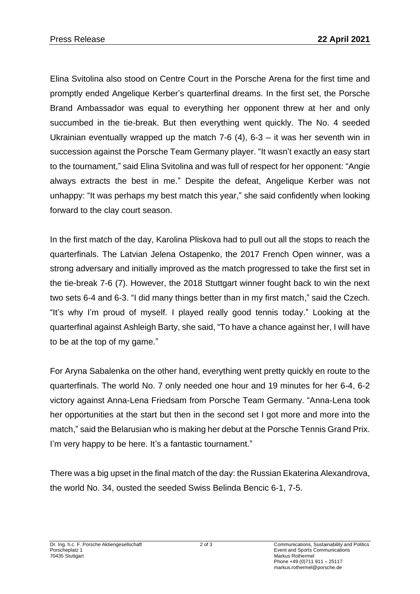Elina Svitolina also stood on Centre Court in the Porsche Arena for the first time and promptly ended Angelique Kerber's quarterfinal dreams. In the first set, the Porsche Brand Ambassador was equal to everything her opponent threw at her and only succumbed in the tie-break. But then everything went quickly. The No. 4 seeded Ukrainian eventually wrapped up the match 7-6 (4),  $6-3 - it$  was her seventh win in succession against the Porsche Team Germany player. "It wasn't exactly an easy start to the tournament," said Elina Svitolina and was full of respect for her opponent: "Angie always extracts the best in me." Despite the defeat, Angelique Kerber was not unhappy: "It was perhaps my best match this year," she said confidently when looking forward to the clay court season.

In the first match of the day, Karolina Pliskova had to pull out all the stops to reach the quarterfinals. The Latvian Jelena Ostapenko, the 2017 French Open winner, was a strong adversary and initially improved as the match progressed to take the first set in the tie-break 7-6 (7). However, the 2018 Stuttgart winner fought back to win the next two sets 6-4 and 6-3. "I did many things better than in my first match," said the Czech. "It's why I'm proud of myself. I played really good tennis today." Looking at the quarterfinal against Ashleigh Barty, she said, "To have a chance against her, I will have to be at the top of my game."

For Aryna Sabalenka on the other hand, everything went pretty quickly en route to the quarterfinals. The world No. 7 only needed one hour and 19 minutes for her 6-4, 6-2 victory against Anna-Lena Friedsam from Porsche Team Germany. "Anna-Lena took her opportunities at the start but then in the second set I got more and more into the match," said the Belarusian who is making her debut at the Porsche Tennis Grand Prix. I'm very happy to be here. It's a fantastic tournament."

There was a big upset in the final match of the day: the Russian Ekaterina Alexandrova, the world No. 34, ousted the seeded Swiss Belinda Bencic 6-1, 7-5.